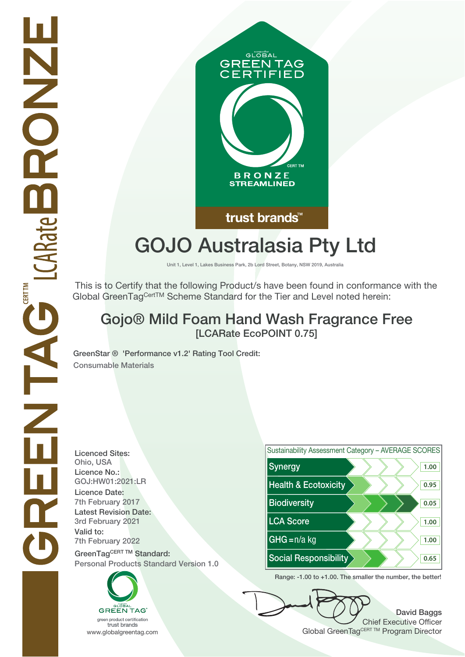

# **GOJO Australasia Pty Ltd**

**Unit 1, Level 1, Lakes Business Park, 2b Lord Street, Botany, NSW 2019, Australia**

 This is to Certify that the following Product/s have been found in conformance with the Global GreenTagCertTM Scheme Standard for the Tier and Level noted herein:

## **Gojo® Mild Foam Hand Wash Fragrance Free [LCARate EcoPOINT 0.75]**

**GreenStar ® 'Performance v1.2' Rating Tool Credit: Consumable Materials**

**Licenced Sites: Licence No.: Licence Date: Latest Revision Date: Valid to: Personal Products Standard Version 1.0**

N<br>D<br>O<br>C<br>O<br>C

ENTACTIONNE

**CERTTM** 





**Range: -1.00 to +1.00. The smaller the number, the better!**

**David Baggs** Chief Executive Officer WWW.globalgreentag.com **Program Director** Clobal GreenTagCERT TM Program Director